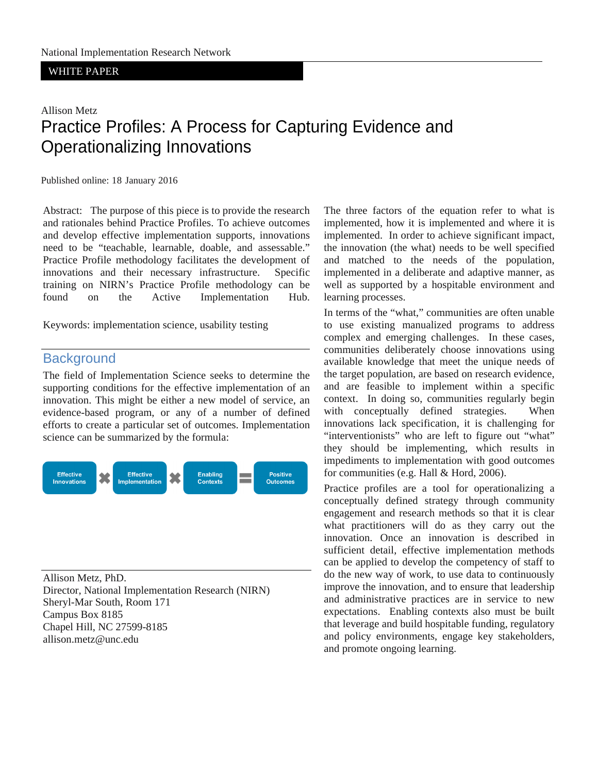#### WHITE PAPER

# Allison Metz Practice Profiles: A Process for Capturing Evidence and Operationalizing Innovations

Published online: 18 January 2016

Abstract: The purpose of this piece is to provide the research and rationales behind Practice Profiles. To achieve outcomes and develop effective implementation supports, innovations need to be "teachable, learnable, doable, and assessable." Practice Profile methodology facilitates the development of innovations and their necessary infrastructure. Specific training on NIRN's Practice Profile methodology can be found on the Active Implementation Hub.

Keywords: implementation science, usability testing

### **Background**

The field of Implementation Science seeks to determine the supporting conditions for the effective implementation of an innovation. This might be either a new model of service, an evidence-based program, or any of a number of defined efforts to create a particular set of outcomes. Implementation science can be summarized by the formula:



Allison Metz, PhD. Director, National Implementation Research (NIRN) Sheryl-Mar South, Room 171 Campus Box 8185 Chapel Hill, NC 27599-8185 allison.metz@unc.edu

The three factors of the equation refer to what is implemented, how it is implemented and where it is implemented. In order to achieve significant impact, the innovation (the what) needs to be well specified and matched to the needs of the population, implemented in a deliberate and adaptive manner, as well as supported by a hospitable environment and learning processes.

In terms of the "what," communities are often unable to use existing manualized programs to address complex and emerging challenges. In these cases, communities deliberately choose innovations using available knowledge that meet the unique needs of the target population, are based on research evidence, and are feasible to implement within a specific context. In doing so, communities regularly begin with conceptually defined strategies. When innovations lack specification, it is challenging for "interventionists" who are left to figure out "what" they should be implementing, which results in impediments to implementation with good outcomes for communities (e.g. Hall & Hord, 2006).

Practice profiles are a tool for operationalizing a conceptually defined strategy through community engagement and research methods so that it is clear what practitioners will do as they carry out the innovation. Once an innovation is described in sufficient detail, effective implementation methods can be applied to develop the competency of staff to do the new way of work, to use data to continuously improve the innovation, and to ensure that leadership and administrative practices are in service to new expectations. Enabling contexts also must be built that leverage and build hospitable funding, regulatory and policy environments, engage key stakeholders, and promote ongoing learning.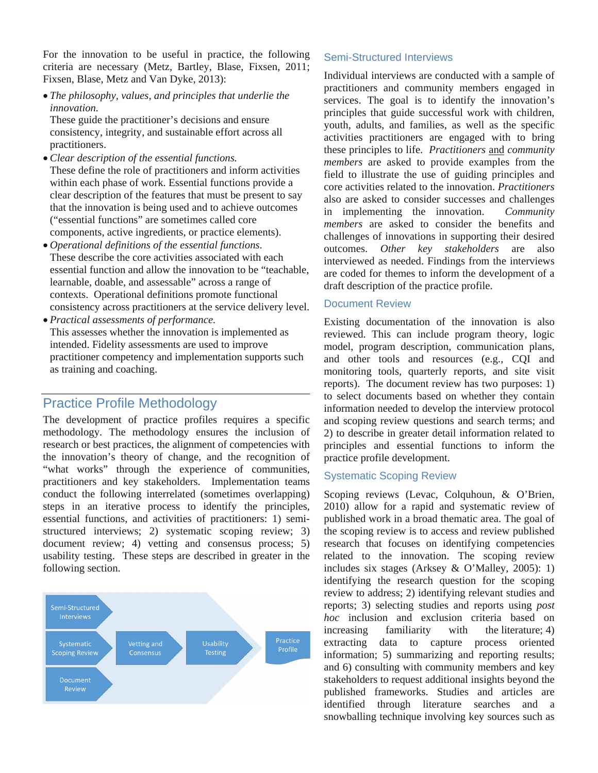For the innovation to be useful in practice, the following criteria are necessary (Metz, Bartley, Blase, Fixsen, 2011; Fixsen, Blase, Metz and Van Dyke, 2013):

 *The philosophy, values, and principles that underlie the innovation.*

These guide the practitioner's decisions and ensure consistency, integrity, and sustainable effort across all practitioners.

- *Clear description of the essential functions.* These define the role of practitioners and inform activities within each phase of work. Essential functions provide a clear description of the features that must be present to say that the innovation is being used and to achieve outcomes ("essential functions" are sometimes called core components, active ingredients, or practice elements).
- *Operational definitions of the essential functions*. These describe the core activities associated with each essential function and allow the innovation to be "teachable, learnable, doable, and assessable" across a range of contexts. Operational definitions promote functional consistency across practitioners at the service delivery level.
- *Practical assessments of performance.* This assesses whether the innovation is implemented as intended. Fidelity assessments are used to improve practitioner competency and implementation supports such as training and coaching.

# Practice Profile Methodology

The development of practice profiles requires a specific methodology. The methodology ensures the inclusion of research or best practices, the alignment of competencies with the innovation's theory of change, and the recognition of "what works" through the experience of communities, practitioners and key stakeholders. Implementation teams conduct the following interrelated (sometimes overlapping) steps in an iterative process to identify the principles, essential functions, and activities of practitioners: 1) semistructured interviews; 2) systematic scoping review; 3) document review; 4) vetting and consensus process; 5) usability testing. These steps are described in greater in the following section.



#### Semi-Structured Interviews

Individual interviews are conducted with a sample of practitioners and community members engaged in services. The goal is to identify the innovation's principles that guide successful work with children, youth, adults, and families, as well as the specific activities practitioners are engaged with to bring these principles to life. *Practitioners* and *community members* are asked to provide examples from the field to illustrate the use of guiding principles and core activities related to the innovation. *Practitioners* also are asked to consider successes and challenges in implementing the innovation. *Community members* are asked to consider the benefits and challenges of innovations in supporting their desired outcomes. *Other key stakeholders* are also interviewed as needed. Findings from the interviews are coded for themes to inform the development of a draft description of the practice profile.

### Document Review

Existing documentation of the innovation is also reviewed. This can include program theory, logic model, program description, communication plans, and other tools and resources (e.g., CQI and monitoring tools, quarterly reports, and site visit reports). The document review has two purposes: 1) to select documents based on whether they contain information needed to develop the interview protocol and scoping review questions and search terms; and 2) to describe in greater detail information related to principles and essential functions to inform the practice profile development.

### Systematic Scoping Review

Scoping reviews (Levac, Colquhoun, & O'Brien, 2010) allow for a rapid and systematic review of published work in a broad thematic area. The goal of the scoping review is to access and review published research that focuses on identifying competencies related to the innovation. The scoping review includes six stages (Arksey & O'Malley, 2005): 1) identifying the research question for the scoping review to address; 2) identifying relevant studies and reports; 3) selecting studies and reports using *post hoc* inclusion and exclusion criteria based on increasing familiarity with the literature; 4) extracting data to capture process oriented information; 5) summarizing and reporting results; and 6) consulting with community members and key stakeholders to request additional insights beyond the published frameworks. Studies and articles are identified through literature searches and a snowballing technique involving key sources such as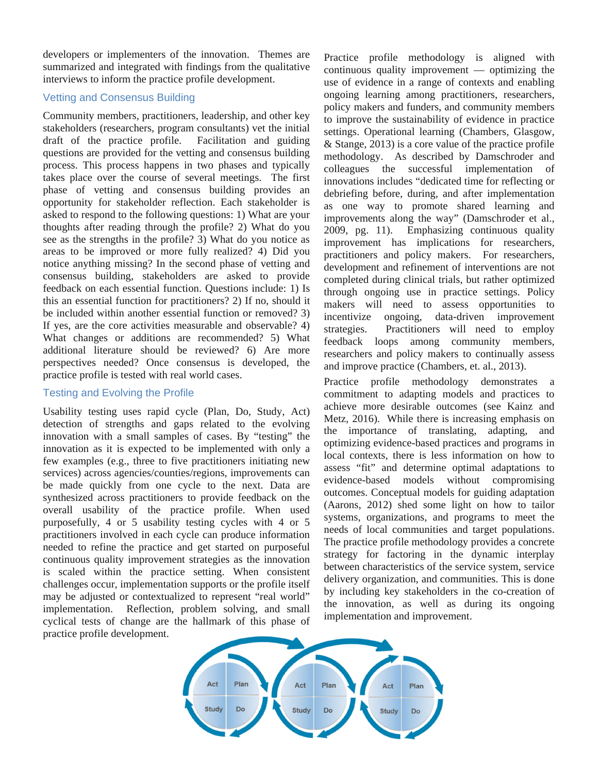developers or implementers of the innovation. Themes are summarized and integrated with findings from the qualitative interviews to inform the practice profile development.

#### Vetting and Consensus Building

Community members, practitioners, leadership, and other key stakeholders (researchers, program consultants) vet the initial draft of the practice profile. Facilitation and guiding questions are provided for the vetting and consensus building process. This process happens in two phases and typically takes place over the course of several meetings. The first phase of vetting and consensus building provides an opportunity for stakeholder reflection. Each stakeholder is asked to respond to the following questions: 1) What are your thoughts after reading through the profile? 2) What do you see as the strengths in the profile? 3) What do you notice as areas to be improved or more fully realized? 4) Did you notice anything missing? In the second phase of vetting and consensus building, stakeholders are asked to provide feedback on each essential function. Questions include: 1) Is this an essential function for practitioners? 2) If no, should it be included within another essential function or removed? 3) If yes, are the core activities measurable and observable? 4) What changes or additions are recommended? 5) What additional literature should be reviewed? 6) Are more perspectives needed? Once consensus is developed, the practice profile is tested with real world cases.

#### Testing and Evolving the Profile

Usability testing uses rapid cycle (Plan, Do, Study, Act) detection of strengths and gaps related to the evolving innovation with a small samples of cases. By "testing" the innovation as it is expected to be implemented with only a few examples (e.g., three to five practitioners initiating new services) across agencies/counties/regions, improvements can be made quickly from one cycle to the next. Data are synthesized across practitioners to provide feedback on the overall usability of the practice profile. When used purposefully, 4 or 5 usability testing cycles with 4 or 5 practitioners involved in each cycle can produce information needed to refine the practice and get started on purposeful continuous quality improvement strategies as the innovation is scaled within the practice setting. When consistent challenges occur, implementation supports or the profile itself may be adjusted or contextualized to represent "real world" implementation. Reflection, problem solving, and small cyclical tests of change are the hallmark of this phase of practice profile development.

Practice profile methodology is aligned with continuous quality improvement — optimizing the use of evidence in a range of contexts and enabling ongoing learning among practitioners, researchers, policy makers and funders, and community members to improve the sustainability of evidence in practice settings. Operational learning (Chambers, Glasgow, & Stange, 2013) is a core value of the practice profile methodology. As described by Damschroder and colleagues the successful implementation of innovations includes "dedicated time for reflecting or debriefing before, during, and after implementation as one way to promote shared learning and improvements along the way" (Damschroder et al., 2009, pg. 11). Emphasizing continuous quality improvement has implications for researchers, practitioners and policy makers. For researchers, development and refinement of interventions are not completed during clinical trials, but rather optimized through ongoing use in practice settings. Policy makers will need to assess opportunities to incentivize ongoing, data-driven improvement strategies. Practitioners will need to employ feedback loops among community members, researchers and policy makers to continually assess and improve practice (Chambers, et. al., 2013).

Practice profile methodology demonstrates a commitment to adapting models and practices to achieve more desirable outcomes (see Kainz and Metz, 2016). While there is increasing emphasis on the importance of translating, adapting, and optimizing evidence-based practices and programs in local contexts, there is less information on how to assess "fit" and determine optimal adaptations to evidence-based models without compromising outcomes. Conceptual models for guiding adaptation (Aarons, 2012) shed some light on how to tailor systems, organizations, and programs to meet the needs of local communities and target populations. The practice profile methodology provides a concrete strategy for factoring in the dynamic interplay between characteristics of the service system, service delivery organization, and communities. This is done by including key stakeholders in the co-creation of the innovation, as well as during its ongoing implementation and improvement.